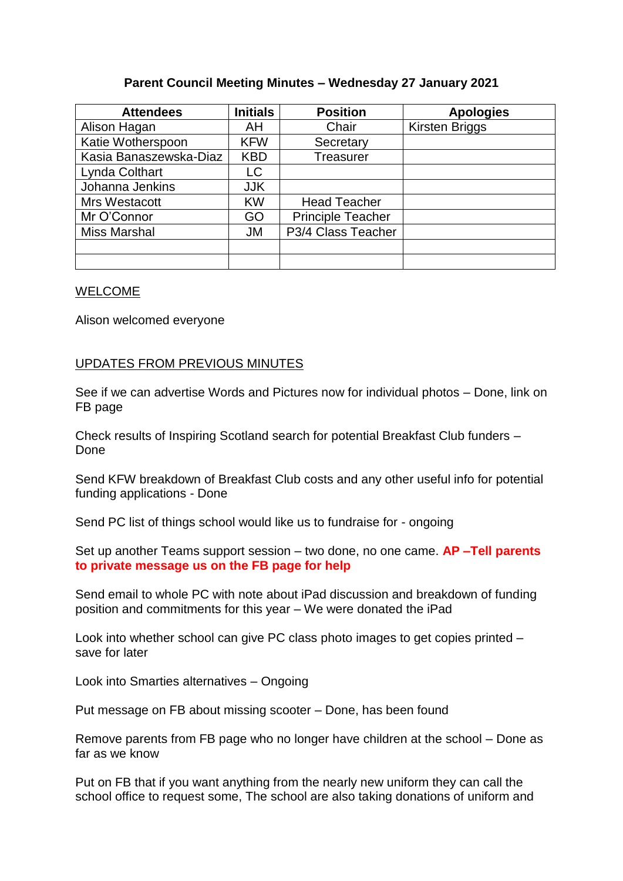## **Parent Council Meeting Minutes – Wednesday 27 January 2021**

| <b>Attendees</b>       | <b>Initials</b> | <b>Position</b>          | <b>Apologies</b>      |
|------------------------|-----------------|--------------------------|-----------------------|
| Alison Hagan           | AH              | Chair                    | <b>Kirsten Briggs</b> |
| Katie Wotherspoon      | <b>KFW</b>      | Secretary                |                       |
| Kasia Banaszewska-Diaz | <b>KBD</b>      | Treasurer                |                       |
| Lynda Colthart         | LC              |                          |                       |
| Johanna Jenkins        | <b>JJK</b>      |                          |                       |
| Mrs Westacott          | <b>KW</b>       | <b>Head Teacher</b>      |                       |
| Mr O'Connor            | GO              | <b>Principle Teacher</b> |                       |
| <b>Miss Marshal</b>    | <b>JM</b>       | P3/4 Class Teacher       |                       |
|                        |                 |                          |                       |
|                        |                 |                          |                       |

#### WELCOME

Alison welcomed everyone

### UPDATES FROM PREVIOUS MINUTES

See if we can advertise Words and Pictures now for individual photos – Done, link on FB page

Check results of Inspiring Scotland search for potential Breakfast Club funders – Done

Send KFW breakdown of Breakfast Club costs and any other useful info for potential funding applications - Done

Send PC list of things school would like us to fundraise for - ongoing

Set up another Teams support session – two done, no one came. **AP –Tell parents to private message us on the FB page for help**

Send email to whole PC with note about iPad discussion and breakdown of funding position and commitments for this year – We were donated the iPad

Look into whether school can give PC class photo images to get copies printed – save for later

Look into Smarties alternatives – Ongoing

Put message on FB about missing scooter – Done, has been found

Remove parents from FB page who no longer have children at the school – Done as far as we know

Put on FB that if you want anything from the nearly new uniform they can call the school office to request some, The school are also taking donations of uniform and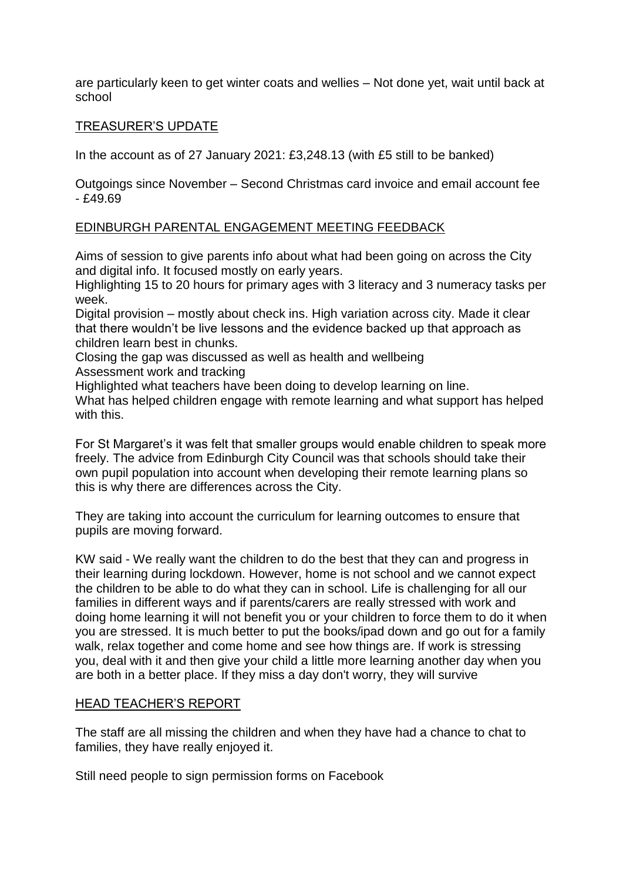are particularly keen to get winter coats and wellies – Not done yet, wait until back at school

## TREASURER'S UPDATE

In the account as of 27 January 2021: £3,248.13 (with £5 still to be banked)

Outgoings since November – Second Christmas card invoice and email account fee - £49.69

## EDINBURGH PARENTAL ENGAGEMENT MEETING FEEDBACK

Aims of session to give parents info about what had been going on across the City and digital info. It focused mostly on early years.

Highlighting 15 to 20 hours for primary ages with 3 literacy and 3 numeracy tasks per week.

Digital provision – mostly about check ins. High variation across city. Made it clear that there wouldn't be live lessons and the evidence backed up that approach as children learn best in chunks.

Closing the gap was discussed as well as health and wellbeing

Assessment work and tracking

Highlighted what teachers have been doing to develop learning on line. What has helped children engage with remote learning and what support has helped with this.

For St Margaret's it was felt that smaller groups would enable children to speak more freely. The advice from Edinburgh City Council was that schools should take their own pupil population into account when developing their remote learning plans so this is why there are differences across the City.

They are taking into account the curriculum for learning outcomes to ensure that pupils are moving forward.

KW said - We really want the children to do the best that they can and progress in their learning during lockdown. However, home is not school and we cannot expect the children to be able to do what they can in school. Life is challenging for all our families in different ways and if parents/carers are really stressed with work and doing home learning it will not benefit you or your children to force them to do it when you are stressed. It is much better to put the books/ipad down and go out for a family walk, relax together and come home and see how things are. If work is stressing you, deal with it and then give your child a little more learning another day when you are both in a better place. If they miss a day don't worry, they will survive

#### HEAD TEACHER'S REPORT

The staff are all missing the children and when they have had a chance to chat to families, they have really enjoyed it.

Still need people to sign permission forms on Facebook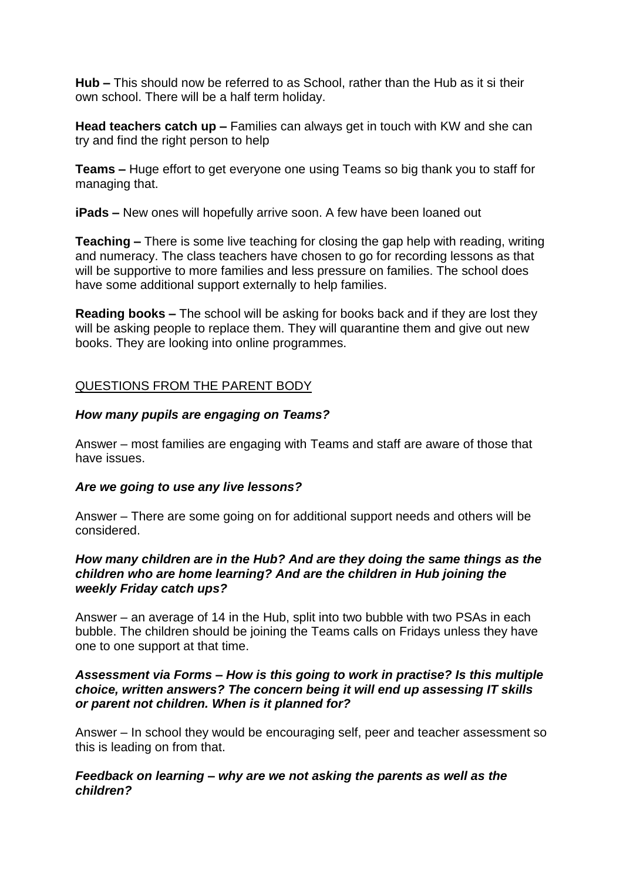**Hub –** This should now be referred to as School, rather than the Hub as it si their own school. There will be a half term holiday.

**Head teachers catch up –** Families can always get in touch with KW and she can try and find the right person to help

**Teams –** Huge effort to get everyone one using Teams so big thank you to staff for managing that.

**iPads –** New ones will hopefully arrive soon. A few have been loaned out

**Teaching –** There is some live teaching for closing the gap help with reading, writing and numeracy. The class teachers have chosen to go for recording lessons as that will be supportive to more families and less pressure on families. The school does have some additional support externally to help families.

**Reading books –** The school will be asking for books back and if they are lost they will be asking people to replace them. They will quarantine them and give out new books. They are looking into online programmes.

# QUESTIONS FROM THE PARENT BODY

## *How many pupils are engaging on Teams?*

Answer – most families are engaging with Teams and staff are aware of those that have issues.

## *Are we going to use any live lessons?*

Answer – There are some going on for additional support needs and others will be considered.

### *How many children are in the Hub? And are they doing the same things as the children who are home learning? And are the children in Hub joining the weekly Friday catch ups?*

Answer – an average of 14 in the Hub, split into two bubble with two PSAs in each bubble. The children should be joining the Teams calls on Fridays unless they have one to one support at that time.

## *Assessment via Forms – How is this going to work in practise? Is this multiple choice, written answers? The concern being it will end up assessing IT skills or parent not children. When is it planned for?*

Answer – In school they would be encouraging self, peer and teacher assessment so this is leading on from that.

## *Feedback on learning – why are we not asking the parents as well as the children?*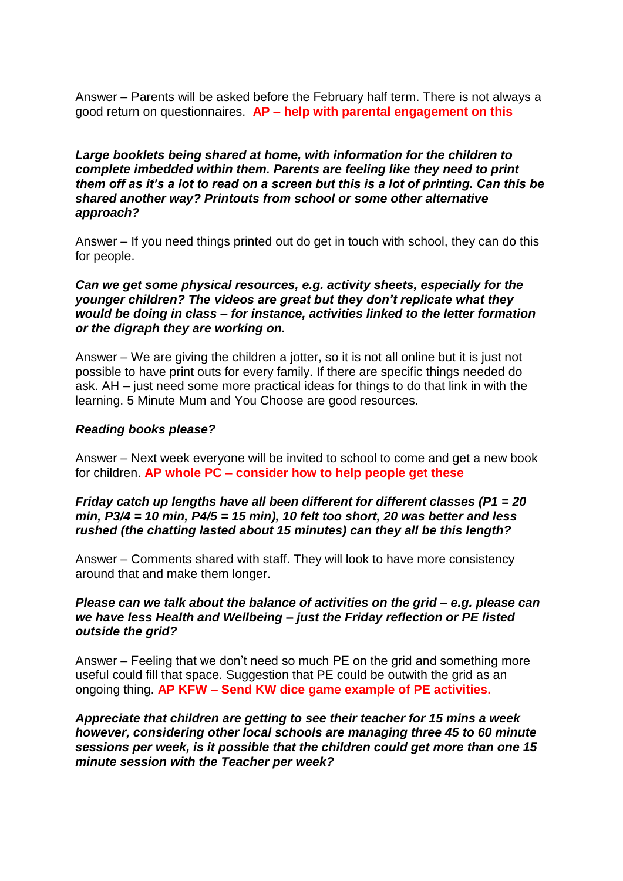Answer – Parents will be asked before the February half term. There is not always a good return on questionnaires. **AP – help with parental engagement on this**

*Large booklets being shared at home, with information for the children to complete imbedded within them. Parents are feeling like they need to print them off as it's a lot to read on a screen but this is a lot of printing. Can this be shared another way? Printouts from school or some other alternative approach?*

Answer – If you need things printed out do get in touch with school, they can do this for people.

*Can we get some physical resources, e.g. activity sheets, especially for the younger children? The videos are great but they don't replicate what they would be doing in class – for instance, activities linked to the letter formation or the digraph they are working on.*

Answer – We are giving the children a jotter, so it is not all online but it is just not possible to have print outs for every family. If there are specific things needed do ask. AH – just need some more practical ideas for things to do that link in with the learning. 5 Minute Mum and You Choose are good resources.

### *Reading books please?*

Answer – Next week everyone will be invited to school to come and get a new book for children. **AP whole PC – consider how to help people get these**

## *Friday catch up lengths have all been different for different classes (P1 = 20 min, P3/4 = 10 min, P4/5 = 15 min), 10 felt too short, 20 was better and less rushed (the chatting lasted about 15 minutes) can they all be this length?*

Answer – Comments shared with staff. They will look to have more consistency around that and make them longer.

### *Please can we talk about the balance of activities on the grid – e.g. please can we have less Health and Wellbeing – just the Friday reflection or PE listed outside the grid?*

Answer – Feeling that we don't need so much PE on the grid and something more useful could fill that space. Suggestion that PE could be outwith the grid as an ongoing thing. **AP KFW – Send KW dice game example of PE activities.**

*Appreciate that children are getting to see their teacher for 15 mins a week however, considering other local schools are managing three 45 to 60 minute sessions per week, is it possible that the children could get more than one 15 minute session with the Teacher per week?*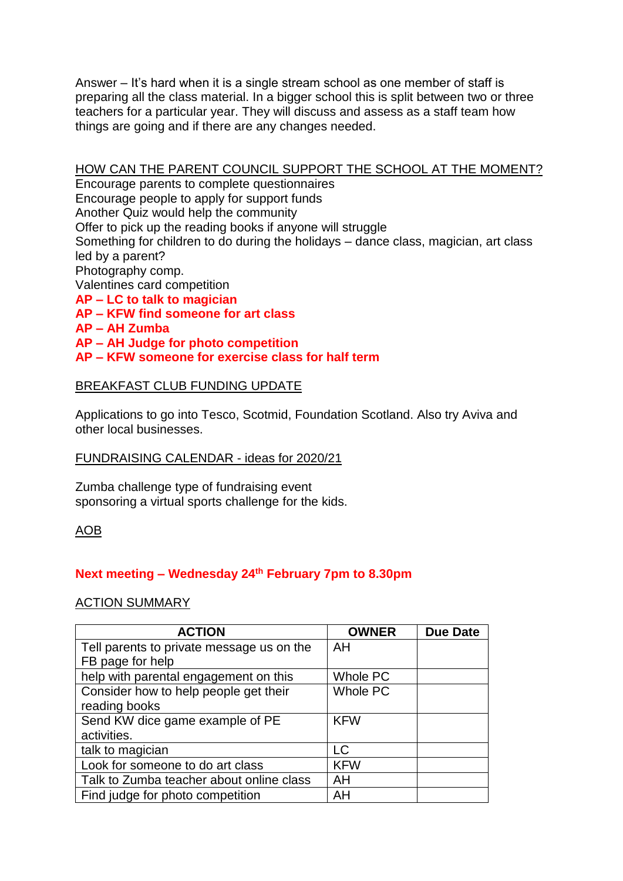Answer – It's hard when it is a single stream school as one member of staff is preparing all the class material. In a bigger school this is split between two or three teachers for a particular year. They will discuss and assess as a staff team how things are going and if there are any changes needed.

# HOW CAN THE PARENT COUNCIL SUPPORT THE SCHOOL AT THE MOMENT?

Encourage parents to complete questionnaires Encourage people to apply for support funds Another Quiz would help the community Offer to pick up the reading books if anyone will struggle Something for children to do during the holidays – dance class, magician, art class led by a parent? Photography comp. Valentines card competition **AP – LC to talk to magician AP – KFW find someone for art class AP – AH Zumba** 

**AP – AH Judge for photo competition** 

## **AP – KFW someone for exercise class for half term**

## BREAKFAST CLUB FUNDING UPDATE

Applications to go into Tesco, Scotmid, Foundation Scotland. Also try Aviva and other local businesses.

#### FUNDRAISING CALENDAR - ideas for 2020/21

Zumba challenge type of fundraising event sponsoring a virtual sports challenge for the kids.

## AOB

# **Next meeting – Wednesday 24 th February 7pm to 8.30pm**

## ACTION SUMMARY

| <b>ACTION</b>                             | <b>OWNER</b>    | <b>Due Date</b> |
|-------------------------------------------|-----------------|-----------------|
| Tell parents to private message us on the | AH              |                 |
| FB page for help                          |                 |                 |
| help with parental engagement on this     | Whole PC        |                 |
| Consider how to help people get their     | <b>Whole PC</b> |                 |
| reading books                             |                 |                 |
| Send KW dice game example of PE           | <b>KFW</b>      |                 |
| activities.                               |                 |                 |
| talk to magician                          | LC              |                 |
| Look for someone to do art class          | <b>KFW</b>      |                 |
| Talk to Zumba teacher about online class  | AH              |                 |
| Find judge for photo competition          | AH              |                 |